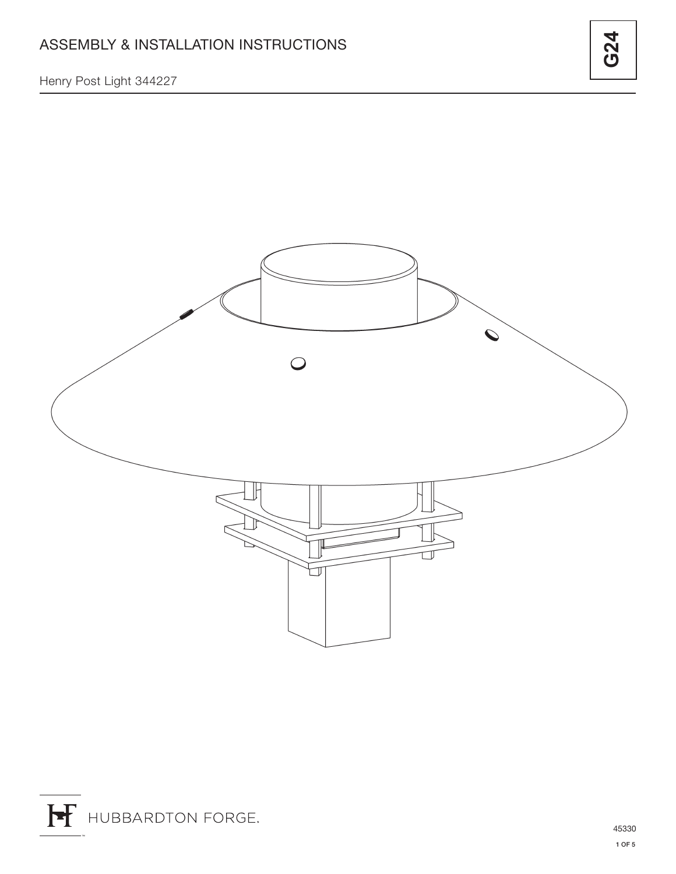Henry Post Light 344227

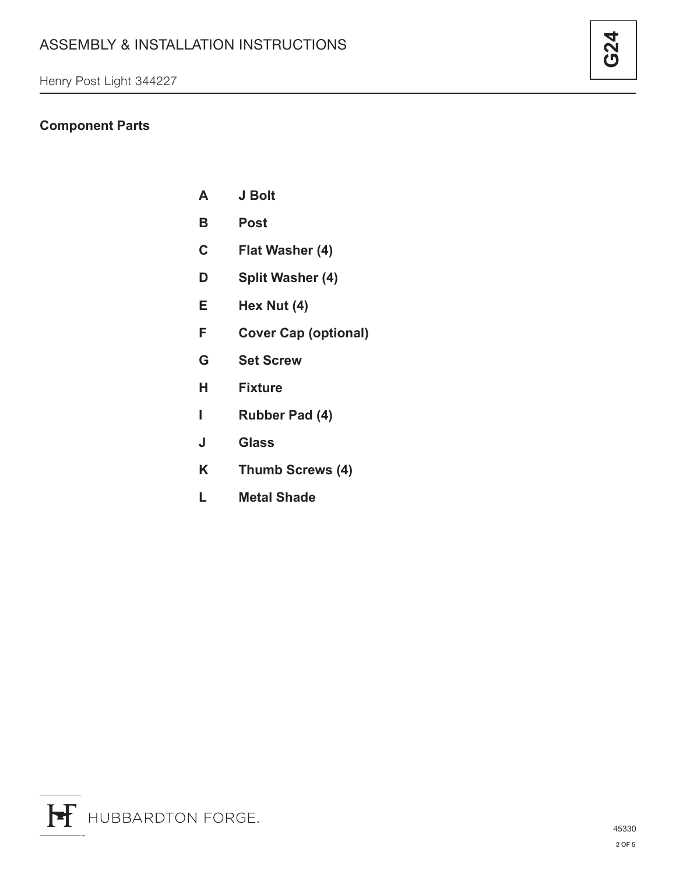# **Component Parts**

- **A J Bolt**
- **B Post**
- **C Flat Washer (4)**
- **D Split Washer (4)**
- **E Hex Nut (4)**
- **F Cover Cap (optional)**
- **G Set Screw**
- **H Fixture**
- **I Rubber Pad (4)**
- **J Glass**
- **K Thumb Screws (4)**
- **L Metal Shade**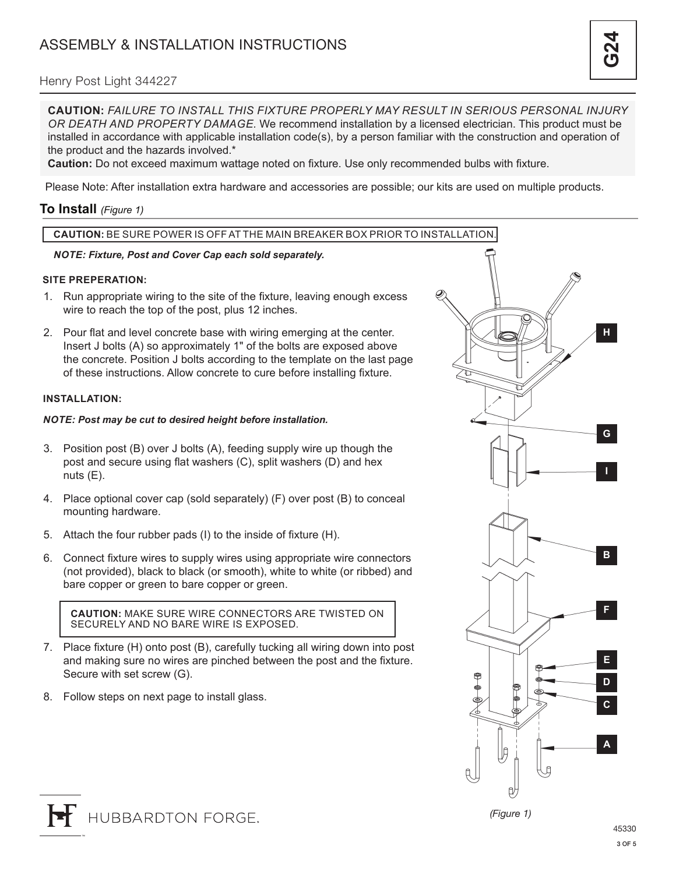### Henry Post Light 344227

**CAUTION:** *FAILURE TO INSTALL THIS FIXTURE PROPERLY MAY RESULT IN SERIOUS PERSONAL INJURY OR DEATH AND PROPERTY DAMAGE.* We recommend installation by a licensed electrician. This product must be installed in accordance with applicable installation code(s), by a person familiar with the construction and operation of the product and the hazards involved.\*

**Caution:** Do not exceed maximum wattage noted on fixture. Use only recommended bulbs with fixture.

Please Note: After installation extra hardware and accessories are possible; our kits are used on multiple products.

### **To Install** *(Figure 1)*

### **CAUTION:** BE SURE POWER IS OFF AT THE MAIN BREAKER BOX PRIOR TO INSTALLATION.

#### *NOTE: Fixture, Post and Cover Cap each sold separately.*

#### **SITE PREPERATION:**

- 1. Run appropriate wiring to the site of the fixture, leaving enough excess wire to reach the top of the post, plus 12 inches.
- 2. Pour flat and level concrete base with wiring emerging at the center. Insert J bolts (A) so approximately 1" of the bolts are exposed above the concrete. Position J bolts according to the template on the last page of these instructions. Allow concrete to cure before installing fixture.

#### **INSTALLATION:**

#### *NOTE: Post may be cut to desired height before installation.*

- 3. Position post (B) over J bolts (A), feeding supply wire up though the post and secure using flat washers (C), split washers (D) and hex nuts (E).
- 4. Place optional cover cap (sold separately) (F) over post (B) to conceal mounting hardware.
- 5. Attach the four rubber pads (I) to the inside of fixture (H).
- 6. Connect fixture wires to supply wires using appropriate wire connectors (not provided), black to black (or smooth), white to white (or ribbed) and bare copper or green to bare copper or green.

**CAUTION:** MAKE SURE WIRE CONNECTORS ARE TWISTED ON SECURELY AND NO BARE WIRE IS EXPOSED.

- 7. Place fixture (H) onto post (B), carefully tucking all wiring down into post and making sure no wires are pinched between the post and the fixture. Secure with set screw (G).
- 8. Follow steps on next page to install glass.

HUBBARDTON FORGE.



**H**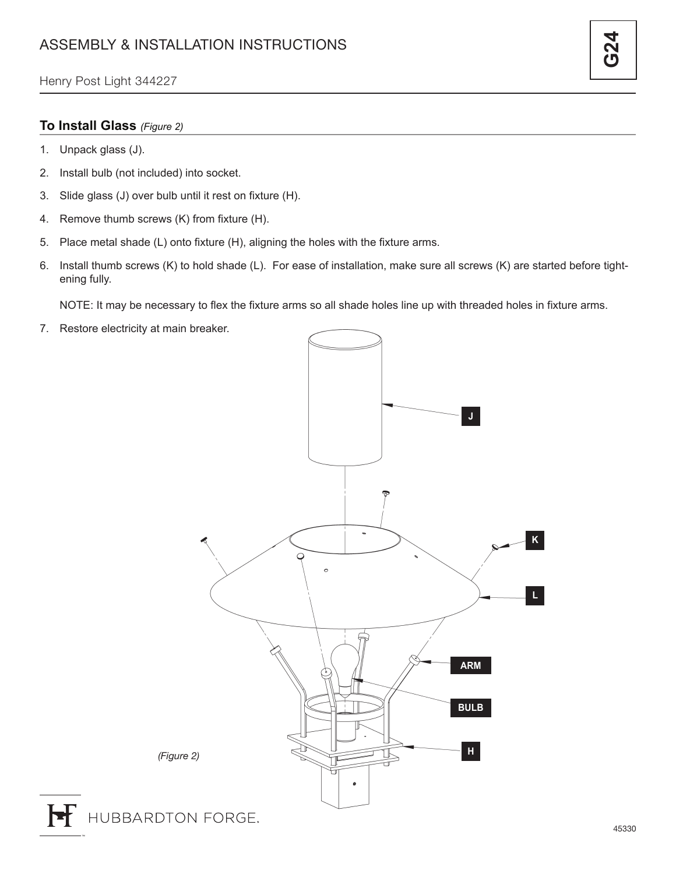### **To Install Glass** *(Figure 2)*

- 1. Unpack glass (J).
- 2. Install bulb (not included) into socket.
- 3. Slide glass (J) over bulb until it rest on fixture (H).
- 4. Remove thumb screws (K) from fixture (H).
- 5. Place metal shade (L) onto fixture (H), aligning the holes with the fixture arms.
- 6. Install thumb screws (K) to hold shade (L). For ease of installation, make sure all screws (K) are started before tightening fully.

NOTE: It may be necessary to flex the fixture arms so all shade holes line up with threaded holes in fixture arms.

7. Restore electricity at main breaker.



H

<u>ج</u><br>ج